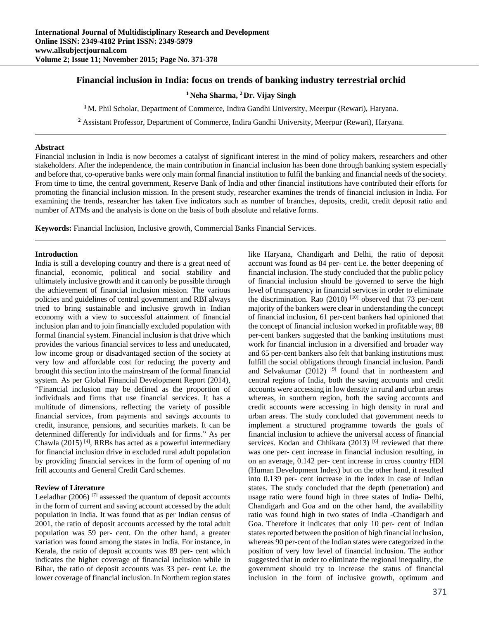# **Financial inclusion in India: focus on trends of banking industry terrestrial orchid**

**1 Neha Sharma, 2 Dr. Vijay Singh**

**<sup>1</sup>**M. Phil Scholar, Department of Commerce, Indira Gandhi University, Meerpur (Rewari), Haryana.

**<sup>2</sup>** Assistant Professor, Department of Commerce, Indira Gandhi University, Meerpur (Rewari), Haryana.

#### **Abstract**

Financial inclusion in India is now becomes a catalyst of significant interest in the mind of policy makers, researchers and other stakeholders. After the independence, the main contribution in financial inclusion has been done through banking system especially and before that, co-operative banks were only main formal financial institution to fulfil the banking and financial needs of the society. From time to time, the central government, Reserve Bank of India and other financial institutions have contributed their efforts for promoting the financial inclusion mission. In the present study, researcher examines the trends of financial inclusion in India. For examining the trends, researcher has taken five indicators such as number of branches, deposits, credit, credit deposit ratio and number of ATMs and the analysis is done on the basis of both absolute and relative forms.

**Keywords:** Financial Inclusion, Inclusive growth, Commercial Banks Financial Services.

### **Introduction**

India is still a developing country and there is a great need of financial, economic, political and social stability and ultimately inclusive growth and it can only be possible through the achievement of financial inclusion mission. The various policies and guidelines of central government and RBI always tried to bring sustainable and inclusive growth in Indian economy with a view to successful attainment of financial inclusion plan and to join financially excluded population with formal financial system. Financial inclusion is that drive which provides the various financial services to less and uneducated, low income group or disadvantaged section of the society at very low and affordable cost for reducing the poverty and brought this section into the mainstream of the formal financial system. As per Global Financial Development Report (2014), "Financial inclusion may be defined as the proportion of individuals and firms that use financial services. It has a multitude of dimensions, reflecting the variety of possible financial services, from payments and savings accounts to credit, insurance, pensions, and securities markets. It can be determined differently for individuals and for firms." As per Chawla (2015)<sup>[4]</sup>, RRBs has acted as a powerful intermediary for financial inclusion drive in excluded rural adult population by providing financial services in the form of opening of no frill accounts and General Credit Card schemes.

### **Review of Literature**

Leeladhar (2006)<sup>[7]</sup> assessed the quantum of deposit accounts in the form of current and saving account accessed by the adult population in India. It was found that as per Indian census of 2001, the ratio of deposit accounts accessed by the total adult population was 59 per- cent. On the other hand, a greater variation was found among the states in India. For instance, in Kerala, the ratio of deposit accounts was 89 per- cent which indicates the higher coverage of financial inclusion while in Bihar, the ratio of deposit accounts was 33 per- cent i.e. the lower coverage of financial inclusion. In Northern region states

like Haryana, Chandigarh and Delhi, the ratio of deposit account was found as 84 per- cent i.e. the better deepening of financial inclusion. The study concluded that the public policy of financial inclusion should be governed to serve the high level of transparency in financial services in order to eliminate the discrimination. Rao  $(2010)$ <sup>[10]</sup> observed that 73 per-cent majority of the bankers were clear in understanding the concept of financial inclusion, 61 per-cent bankers had opinioned that the concept of financial inclusion worked in profitable way, 88 per-cent bankers suggested that the banking institutions must work for financial inclusion in a diversified and broader way and 65 per-cent bankers also felt that banking institutions must fulfill the social obligations through financial inclusion. Pandi and Selvakumar  $(2012)$ <sup>[9]</sup> found that in northeastern and central regions of India, both the saving accounts and credit accounts were accessing in low density in rural and urban areas whereas, in southern region, both the saving accounts and credit accounts were accessing in high density in rural and urban areas. The study concluded that government needs to implement a structured programme towards the goals of financial inclusion to achieve the universal access of financial services. Kodan and Chhikara (2013) <sup>[6]</sup> reviewed that there was one per- cent increase in financial inclusion resulting, in on an average, 0.142 per- cent increase in cross country HDI (Human Development Index) but on the other hand, it resulted into 0.139 per- cent increase in the index in case of Indian states. The study concluded that the depth (penetration) and usage ratio were found high in three states of India- Delhi, Chandigarh and Goa and on the other hand, the availability ratio was found high in two states of India -Chandigarh and Goa. Therefore it indicates that only 10 per- cent of Indian states reported between the position of high financial inclusion, whereas 90 per-cent of the Indian states were categorized in the position of very low level of financial inclusion. The author suggested that in order to eliminate the regional inequality, the government should try to increase the status of financial inclusion in the form of inclusive growth, optimum and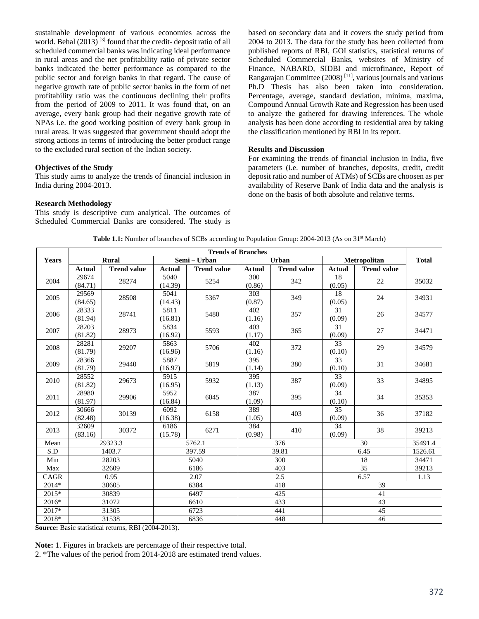sustainable development of various economies across the world. Behal (2013)<sup>[3]</sup> found that the credit- deposit ratio of all scheduled commercial banks was indicating ideal performance in rural areas and the net profitability ratio of private sector banks indicated the better performance as compared to the public sector and foreign banks in that regard. The cause of negative growth rate of public sector banks in the form of net profitability ratio was the continuous declining their profits from the period of 2009 to 2011. It was found that, on an average, every bank group had their negative growth rate of NPAs i.e. the good working position of every bank group in rural areas. It was suggested that government should adopt the strong actions in terms of introducing the better product range to the excluded rural section of the Indian society.

## **Objectives of the Study**

This study aims to analyze the trends of financial inclusion in India during 2004-2013.

### **Research Methodology**

This study is descriptive cum analytical. The outcomes of Scheduled Commercial Banks are considered. The study is based on secondary data and it covers the study period from 2004 to 2013. The data for the study has been collected from published reports of RBI, GOI statistics, statistical returns of Scheduled Commercial Banks, websites of Ministry of Finance, NABARD, SIDBI and microfinance, Report of Rangarajan Committee (2008) [11], various journals and various Ph.D Thesis has also been taken into consideration. Percentage, average, standard deviation, minima, maxima, Compound Annual Growth Rate and Regression has been used to analyze the gathered for drawing inferences. The whole analysis has been done according to residential area by taking the classification mentioned by RBI in its report.

### **Results and Discussion**

For examining the trends of financial inclusion in India, five parameters (i.e. number of branches, deposits, credit, credit deposit ratio and number of ATMs) of SCBs are choosen as per availability of Reserve Bank of India data and the analysis is done on the basis of both absolute and relative terms.

|                                  |                          | <b>Trends of Branches</b>    |                 |                    |               |                    |                           |                    |              |  |
|----------------------------------|--------------------------|------------------------------|-----------------|--------------------|---------------|--------------------|---------------------------|--------------------|--------------|--|
| <b>Years</b>                     |                          | Rural                        |                 | Semi - Urban       |               | <b>Urban</b>       |                           | Metropolitan       | <b>Total</b> |  |
|                                  | <b>Actual</b>            | <b>Trend value</b>           | <b>Actual</b>   | <b>Trend value</b> | <b>Actual</b> | <b>Trend value</b> | <b>Actual</b>             | <b>Trend value</b> |              |  |
| 2004                             | 29674                    | 28274                        | 5040            | 5254               | 300           | 342                | 18                        | 22                 | 35032        |  |
|                                  | (84.71)                  |                              | (14.39)         |                    | (0.86)        |                    | (0.05)                    |                    |              |  |
| 2005                             | 29569<br>(84.65)         | 28508                        | 5041<br>(14.43) | 5367               | 303<br>(0.87) | 349                | $\overline{18}$<br>(0.05) | 24                 | 34931        |  |
| 2006                             | 28333<br>(81.94)         | 28741                        | 5811<br>(16.81) | 5480               | 402<br>(1.16) | 357                | 31<br>(0.09)              | 26                 | 34577        |  |
| 2007                             | 28203<br>(81.82)         | 28973                        | 5834<br>(16.92) | 5593               | 403<br>(1.17) | 365                | $\overline{31}$<br>(0.09) | 27                 | 34471        |  |
| 2008                             | 28281<br>(81.79)         | 29207                        | 5863<br>(16.96) | 5706               | 402<br>(1.16) | 372                | 33<br>(0.10)              | 29                 | 34579        |  |
| 2009                             | 28366<br>(81.79)         | 29440                        | 5887<br>(16.97) | 5819               | 395<br>(1.14) | 380                | 33<br>(0.10)              | 31                 | 34681        |  |
| 2010                             | 28552<br>(81.82)         | 29673                        | 5915<br>(16.95) | 5932               | 395<br>(1.13) | 387                | 33<br>(0.09)              | 33                 | 34895        |  |
| 2011                             | 28980<br>(81.97)         | 29906                        | 5952<br>(16.84) | 6045               | 387<br>(1.09) | 395                | 34<br>(0.10)              | 34                 | 35353        |  |
| 2012                             | 30666<br>(82.48)         | 30139                        | 6092<br>(16.38) | 6158               | 389<br>(1.05) | 403                | 35<br>(0.09)              | 36                 | 37182        |  |
| 2013                             | 32609<br>(83.16)         | 30372                        | 6186<br>(15.78) | 6271               | 384<br>(0.98) | 410                | 34<br>(0.09)              | 38                 | 39213        |  |
| Mean                             |                          | 29323.3                      |                 | 5762.1             |               | 376                |                           | 30                 | 35491.4      |  |
| S.D                              |                          | 1403.7                       |                 | 397.59             |               | 39.81              |                           | 6.45               | 1526.61      |  |
| Min                              |                          | 28203                        |                 | 5040               |               | 300                |                           | 18                 | 34471        |  |
| Max                              |                          | 32609                        |                 | 6186               |               | 403                |                           | 35                 | 39213        |  |
| CAGR                             |                          | 0.95                         |                 | 2.07               |               | 2.5                |                           | 6.57               | 1.13         |  |
| 2014*                            |                          | 30605                        | 6384            |                    |               | 418                |                           | 39                 |              |  |
| 2015*                            |                          | 30839                        |                 | 6497               |               | 425                |                           | 41                 |              |  |
| 2016*                            |                          | 31072                        |                 | 6610               |               | 433                | 43                        |                    |              |  |
| 2017*                            |                          | 31305                        |                 | 6723               |               | 441                |                           | 45                 |              |  |
| 2018*<br>$\alpha$ <sub>---</sub> | and Ducto spectation and | 31538<br>$-$ DDI (2004.2012) |                 | 6836               |               | 448                | 46                        |                    |              |  |

**Table 1.1:** Number of branches of SCBs according to Population Group: 2004-2013 (As on 31<sup>st</sup> March)

**Source:** Basic statistical returns, RBI (2004-2013).

**Note:** 1. Figures in brackets are percentage of their respective total.

2. \*The values of the period from 2014-2018 are estimated trend values.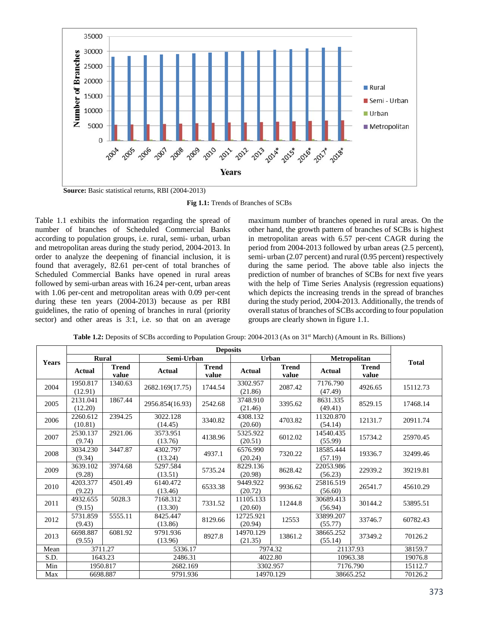

**Fig 1.1:** Trends of Branches of SCBs

Table 1.1 exhibits the information regarding the spread of number of branches of Scheduled Commercial Banks according to population groups, i.e. rural, semi- urban, urban and metropolitan areas during the study period, 2004-2013. In order to analyze the deepening of financial inclusion, it is found that averagely, 82.61 per-cent of total branches of Scheduled Commercial Banks have opened in rural areas followed by semi-urban areas with 16.24 per-cent, urban areas with 1.06 per-cent and metropolitan areas with 0.09 per-cent during these ten years (2004-2013) because as per RBI guidelines, the ratio of opening of branches in rural (priority sector) and other areas is 3:1, i.e. so that on an average

maximum number of branches opened in rural areas. On the other hand, the growth pattern of branches of SCBs is highest in metropolitan areas with 6.57 per-cent CAGR during the period from 2004-2013 followed by urban areas (2.5 percent), semi- urban (2.07 percent) and rural (0.95 percent) respectively during the same period. The above table also injects the prediction of number of branches of SCBs for next five years with the help of Time Series Analysis (regression equations) which depicts the increasing trends in the spread of branches during the study period, 2004-2013. Additionally, the trends of overall status of branches of SCBs according to four population groups are clearly shown in figure 1.1.

|  |  | Table 1.2: Deposits of SCBs according to Population Group: 2004-2013 (As on 31 <sup>st</sup> March) (Amount in Rs. Billions) |  |
|--|--|------------------------------------------------------------------------------------------------------------------------------|--|
|  |  |                                                                                                                              |  |

|       |                     |                       |                     | <b>Deposits</b>       |                      |                       |                      |                |              |
|-------|---------------------|-----------------------|---------------------|-----------------------|----------------------|-----------------------|----------------------|----------------|--------------|
| Years | Rural               |                       | Semi-Urban          |                       | Urban                |                       | <b>Metropolitan</b>  |                | <b>Total</b> |
|       | Actual              | <b>Trend</b><br>value | <b>Actual</b>       | <b>Trend</b><br>value | Actual               | <b>Trend</b><br>value | Actual               | Trend<br>value |              |
| 2004  | 1950.817<br>(12.91) | 1340.63               | 2682.169(17.75)     | 1744.54               | 3302.957<br>(21.86)  | 2087.42               | 7176.790<br>(47.49)  | 4926.65        | 15112.73     |
| 2005  | 2131.041<br>(12.20) | 1867.44               | 2956.854(16.93)     | 2542.68               | 3748.910<br>(21.46)  | 3395.62               | 8631.335<br>(49.41)  | 8529.15        | 17468.14     |
| 2006  | 2260.612<br>(10.81) | 2394.25               | 3022.128<br>(14.45) | 3340.82               | 4308.132<br>(20.60)  | 4703.82               | 11320.870<br>(54.14) | 12131.7        | 20911.74     |
| 2007  | 2530.137<br>(9.74)  | 2921.06               | 3573.951<br>(13.76) | 4138.96               | 5325.922<br>(20.51)  | 6012.02               | 14540.435<br>(55.99) | 15734.2        | 25970.45     |
| 2008  | 3034.230<br>(9.34)  | 3447.87               | 4302.797<br>(13.24) | 4937.1                | 6576.990<br>(20.24)  | 7320.22               | 18585.444<br>(57.19) | 19336.7        | 32499.46     |
| 2009  | 3639.102<br>(9.28)  | 3974.68               | 5297.584<br>(13.51) | 5735.24               | 8229.136<br>(20.98)  | 8628.42               | 22053.986<br>(56.23) | 22939.2        | 39219.81     |
| 2010  | 4203.377<br>(9.22)  | 4501.49               | 6140.472<br>(13.46) | 6533.38               | 9449.922<br>(20.72)  | 9936.62               | 25816.519<br>(56.60) | 26541.7        | 45610.29     |
| 2011  | 4932.655<br>(9.15)  | 5028.3                | 7168.312<br>(13.30) | 7331.52               | 11105.133<br>(20.60) | 11244.8               | 30689.413<br>(56.94) | 30144.2        | 53895.51     |
| 2012  | 5731.859<br>(9.43)  | 5555.11               | 8425.447<br>(13.86) | 8129.66               | 12725.921<br>(20.94) | 12553                 | 33899.207<br>(55.77) | 33746.7        | 60782.43     |
| 2013  | 6698.887<br>(9.55)  | 6081.92               | 9791.936<br>(13.96) | 8927.8                | 14970.129<br>(21.35) | 13861.2               | 38665.252<br>(55.14) | 37349.2        | 70126.2      |
| Mean  | 3711.27             |                       | 5336.17             |                       | 7974.32              |                       | 21137.93             |                | 38159.7      |
| S.D.  |                     | 1643.23               | 2486.31             |                       | 4022.80              |                       | 10963.38             |                | 19076.8      |
| Min   |                     | 1950.817              | 2682.169            |                       | 3302.957             |                       | 7176.790             |                | 15112.7      |
| Max   | 6698.887            |                       | 9791.936            |                       | 14970.129            |                       | 38665.252            |                | 70126.2      |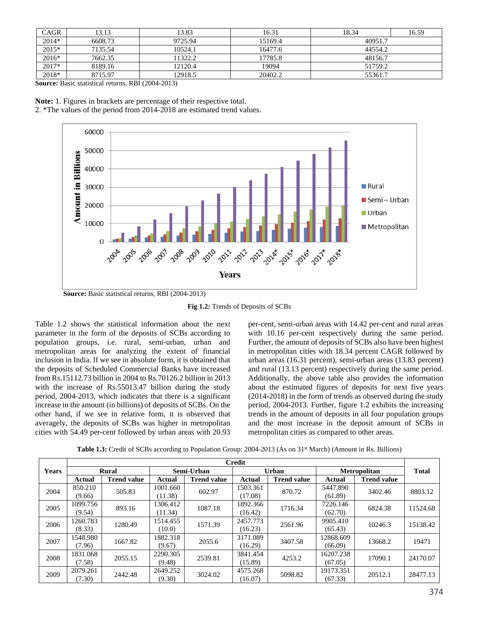| CAGR    | 13.13   | 13.83   | 16.31   | 18.34   | 16.59 |  |  |
|---------|---------|---------|---------|---------|-------|--|--|
| $2014*$ | 6608.73 | 9725.94 | 15169.4 | 40951.7 |       |  |  |
| 2015*   | 7135.54 | 10524.1 | 16477.6 | 44554.2 |       |  |  |
| $2016*$ | 7662.35 | 11322.2 | 17785.8 | 48156.7 |       |  |  |
| 2017*   | 8189.16 | 12120.4 | 19094   | 51759.2 |       |  |  |
| 2018*   | 8715.97 | 12918.5 | 20402.2 | 55361.7 |       |  |  |

**Source:** Basic statistical returns, RBI (2004-2013)

**Note:** 1. Figures in brackets are percentage of their respective total. 2. \*The values of the period from 2014-2018 are estimated trend values.



**Source:** Basic statistical returns, RBI (2004-2013)

**Fig 1.2:** Trends of Deposits of SCBs

Table 1.2 shows the statistical information about the next parameter in the form of the deposits of SCBs according to population groups, i.e. rural, semi-urban, urban and metropolitan areas for analyzing the extent of financial inclusion in India. If we see in absolute form, it is obtained that the deposits of Scheduled Commercial Banks have increased from Rs.15112.73 billion in 2004 to Rs.70126.2 billion in 2013 with the increase of Rs.55013.47 billion during the study period, 2004-2013, which indicates that there is a significant increase in the amount (in billions) of deposits of SCBs. On the other hand, if we see in relative form, it is observed that averagely, the deposits of SCBs was higher in metropolitan cities with 54.49 per-cent followed by urban areas with 20.93

per-cent, semi-urban areas with 14.42 per-cent and rural areas with 10.16 per-cent respectively during the same period. Further, the amount of deposits of SCBs also have been highest in metropolitan cities with 18.34 percent CAGR followed by urban areas (16.31 percent), semi-urban areas (13.83 percent) and rural (13.13 percent) respectively during the same period. Additionally, the above table also provides the information about the estimated figures of deposits for next five years (2014-2018) in the form of trends as observed during the study period, 2004-2013. Further, figure 1.2 exhibits the increasing trends in the amount of deposits in all four population groups and the most increase in the deposit amount of SCBs in metropolitan cities as compared to other areas.

|              |          |                    |            |                    | <b>Credit</b> |                    |                     |                    |              |
|--------------|----------|--------------------|------------|--------------------|---------------|--------------------|---------------------|--------------------|--------------|
| <b>Years</b> | Rural    |                    | Semi-Urban |                    | Urban         |                    | <b>Metropolitan</b> |                    | <b>Total</b> |
|              | Actual   | <b>Trend value</b> | Actual     | <b>Trend value</b> | Actual        | <b>Trend value</b> | Actual              | <b>Trend value</b> |              |
| 2004         | 850.210  | 505.83             | 1001.660   | 602.97             | 1503.361      | 870.72             | 5447.890            | 3402.46            | 8803.12      |
|              | (9.66)   |                    | (11.38)    |                    | (17.08)       |                    | (61.89)             |                    |              |
| 2005         | 1099.756 | 893.16             | 1306.412   | 1087.18            | 1892.366      | 1716.34            | 7226.146            | 6824.38            | 11524.68     |
|              | (9.54)   |                    | (11.34)    |                    | (16.42)       |                    | (62.70)             |                    |              |
| 2006         | 1260.783 | 1280.49            | 1514.455   | 1571.39            | 2457.773      | 2561.96            | 9905.410            | 10246.3            | 15138.42     |
|              | (8.33)   |                    | (10.0)     |                    | (16.23)       |                    | (65.43)             |                    |              |
| 2007         | 1548.980 | 1667.82            | 1882.318   | 2055.6             | 3171.089      | 3407.58            | 12868.609           | 13668.2            | 19471        |
|              | (7.96)   |                    | (9.67)     |                    | (16.29)       |                    | (66.09)             |                    |              |
| 2008         | 1831.068 | 2055.15            | 2290.305   | 2539.81            | 3841.454      | 4253.2             | 16207.238           | 17090.1            | 24170.07     |
|              | (7.58)   |                    | (9.48)     |                    | (15.89)       |                    | (67.05)             |                    |              |
| 2009         | 2079.261 | 2442.48            | 2649.252   | 3024.02            | 4575.268      | 5098.82            | 19173.351           | 20512.1            | 28477.13     |
|              | (7.30)   |                    | (9.30)     |                    | (16.07)       |                    | (67.33)             |                    |              |

**Table 1.3:** Credit of SCBs according to Population Group: 2004-2013 (As on 31<sup>st</sup> March) (Amount in Rs. Billions)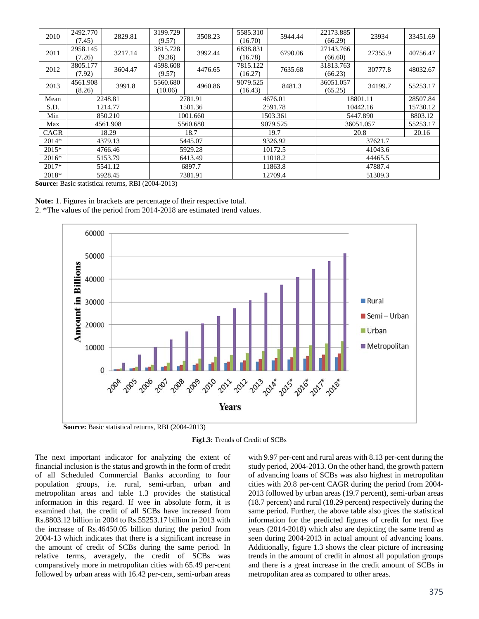| 2010    | 2492.770<br>(7.45) | 2829.81  | 3199.729<br>(9.57)  | 3508.23  | 5585.310<br>(16.70) | 5944.44  | 22173.885<br>(66.29) | 23934         | 33451.69 |  |
|---------|--------------------|----------|---------------------|----------|---------------------|----------|----------------------|---------------|----------|--|
| 2011    | 2958.145<br>(7.26) | 3217.14  | 3815.728<br>(9.36)  | 3992.44  | 6838.831<br>(16.78) | 6790.06  | 27143.766<br>(66.60) | 27355.9       | 40756.47 |  |
| 2012    | 3805.177<br>(7.92) | 3604.47  | 4598.608<br>(9.57)  | 4476.65  | 7815.122<br>(16.27) | 7635.68  | 31813.763<br>(66.23) | 30777.8       | 48032.67 |  |
| 2013    | 4561.908<br>(8.26) | 3991.8   | 5560.680<br>(10.06) | 4960.86  | 9079.525<br>(16.43) | 8481.3   | 36051.057<br>(65.25) | 34199.7       | 55253.17 |  |
| Mean    | 2248.81            |          | 2781.91             |          | 4676.01             | 18801.11 |                      | 28507.84      |          |  |
| S.D.    |                    | 1214.77  | 1501.36             |          |                     | 2591.78  |                      | 10442.16      |          |  |
| Min     |                    | 850.210  | 1001.660            |          |                     | 1503.361 |                      | 5447.890      | 8803.12  |  |
| Max     |                    | 4561.908 |                     | 5560.680 |                     | 9079.525 |                      | 36051.057     | 55253.17 |  |
| CAGR    |                    | 18.29    |                     | 18.7     |                     | 19.7     |                      | 20.8<br>20.16 |          |  |
| $2014*$ |                    | 4379.13  |                     | 5445.07  |                     | 9326.92  |                      | 37621.7       |          |  |
| $2015*$ | 4766.46            |          |                     | 5929.28  |                     | 10172.5  | 41043.6              |               |          |  |
| $2016*$ | 5153.79            |          |                     | 6413.49  |                     | 11018.2  |                      | 44465.5       |          |  |
| $2017*$ |                    | 5541.12  |                     | 6897.7   |                     | 11863.8  | 47887.4              |               |          |  |
| 2018*   |                    | 5928.45  |                     | 7381.91  |                     | 12709.4  |                      | 51309.3       |          |  |

**Source:** Basic statistical returns, RBI (2004-2013)

**Note:** 1. Figures in brackets are percentage of their respective total. 2. \*The values of the period from 2014-2018 are estimated trend values.



**Fig1.3:** Trends of Credit of SCBs

The next important indicator for analyzing the extent of financial inclusion is the status and growth in the form of credit of all Scheduled Commercial Banks according to four population groups, i.e. rural, semi-urban, urban and metropolitan areas and table 1.3 provides the statistical information in this regard. If wee in absolute form, it is examined that, the credit of all SCBs have increased from Rs.8803.12 billion in 2004 to Rs.55253.17 billion in 2013 with the increase of Rs.46450.05 billion during the period from 2004-13 which indicates that there is a significant increase in the amount of credit of SCBs during the same period. In relative terms, averagely, the credit of SCBs was comparatively more in metropolitan cities with 65.49 per-cent followed by urban areas with 16.42 per-cent, semi-urban areas

with 9.97 per-cent and rural areas with 8.13 per-cent during the study period, 2004-2013. On the other hand, the growth pattern of advancing loans of SCBs was also highest in metropolitan cities with 20.8 per-cent CAGR during the period from 2004- 2013 followed by urban areas (19.7 percent), semi-urban areas (18.7 percent) and rural (18.29 percent) respectively during the same period. Further, the above table also gives the statistical information for the predicted figures of credit for next five years (2014-2018) which also are depicting the same trend as seen during 2004-2013 in actual amount of advancing loans. Additionally, figure 1.3 shows the clear picture of increasing trends in the amount of credit in almost all population groups and there is a great increase in the credit amount of SCBs in metropolitan area as compared to other areas.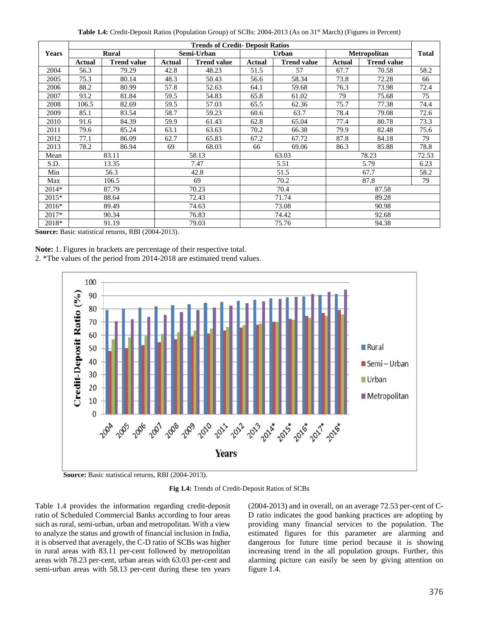Table 1.4: Credit-Deposit Ratios (Population Group) of SCBs: 2004-2013 (As on 31<sup>st</sup> March) (Figures in Percent)

|         |               |                    |            | <b>Trends of Credit- Deposit Ratios</b> |               |                    |                     |                    |              |
|---------|---------------|--------------------|------------|-----------------------------------------|---------------|--------------------|---------------------|--------------------|--------------|
| Years   |               | Rural              | Semi-Urban |                                         | <b>Urban</b>  |                    | <b>Metropolitan</b> |                    | <b>Total</b> |
|         | <b>Actual</b> | <b>Trend value</b> | Actual     | <b>Trend value</b>                      | <b>Actual</b> | <b>Trend value</b> | <b>Actual</b>       | <b>Trend value</b> |              |
| 2004    | 56.3          | 79.29              | 42.8       | 48.23                                   | 51.5          | 57                 | 67.7                | 70.58              | 58.2         |
| 2005    | 75.3          | 80.14              | 48.3       | 50.43                                   | 56.6          | 58.34              | 73.8                | 72.28              | 66           |
| 2006    | 88.2          | 80.99              | 57.8       | 52.63                                   | 64.1          | 59.68              | 76.3                | 73.98              | 72.4         |
| 2007    | 93.2          | 81.84              | 59.5       | 54.83                                   | 65.8          | 61.02              | 79                  | 75.68              | 75           |
| 2008    | 106.5         | 82.69              | 59.5       | 57.03                                   | 65.5          | 62.36              | 75.7                | 77.38              | 74.4         |
| 2009    | 85.1          | 83.54              | 58.7       | 59.23                                   | 60.6          | 63.7               | 78.4                | 79.08              | 72.6         |
| 2010    | 91.6          | 84.39              | 59.9       | 61.43                                   | 62.8          | 65.04              | 77.4                | 80.78              | 73.3         |
| 2011    | 79.6          | 85.24              | 63.1       | 63.63                                   | 70.2          | 66.38              | 79.9                | 82.48              | 75.6         |
| 2012    | 77.1          | 86.09              | 62.7       | 65.83                                   | 67.2          | 67.72              | 87.8                | 84.18              | 79           |
| 2013    | 78.2          | 86.94              | 69         | 68.03                                   | 66            | 69.06              | 86.3                | 85.88              | 78.8         |
| Mean    |               | 83.11              | 58.13      |                                         | 63.03         |                    | 78.23               |                    | 72.53        |
| S.D.    |               | 13.35              |            | 7.47                                    | 5.51          |                    | 5.79                |                    | 6.23         |
| Min     |               | 56.3               |            | 42.8                                    | 51.5          |                    | 67.7                |                    | 58.2         |
| Max     |               | 106.5              |            | 69                                      | 70.2          |                    | 87.8                |                    | 79           |
| 2014*   |               | 87.79              |            | 70.23                                   |               | 70.4               |                     | 87.58              |              |
| $2015*$ | 88.64         |                    |            | 72.43                                   |               | 71.74              |                     | 89.28              |              |
| 2016*   | 89.49         |                    |            | 74.63                                   |               | 73.08              | 90.98               |                    |              |
| 2017*   |               | 90.34              |            | 76.83                                   | 74.42         |                    | 92.68               |                    |              |
| 2018*   |               | 91.19              |            | 79.03                                   |               | 75.76              | 94.38               |                    |              |

**Source:** Basic statistical returns, RBI (2004-2013).

**Note:** 1. Figures in brackets are percentage of their respective total.

2. \*The values of the period from 2014-2018 are estimated trend values.



**Fig 1.4:** Trends of Credit-Deposit Ratios of SCBs

Table 1.4 provides the information regarding credit-deposit ratio of Scheduled Commercial Banks according to four areas such as rural, semi-urban, urban and metropolitan. With a view to analyze the status and growth of financial inclusion in India, it is observed that averagely, the C-D ratio of SCBs was higher in rural areas with 83.11 per-cent followed by metropolitan areas with 78.23 per-cent, urban areas with 63.03 per-cent and semi-urban areas with 58.13 per-cent during these ten years

(2004-2013) and in overall, on an average 72.53 per-cent of C-D ratio indicates the good banking practices are adopting by providing many financial services to the population. The estimated figures for this parameter are alarming and dangerous for future time period because it is showing increasing trend in the all population groups. Further, this alarming picture can easily be seen by giving attention on figure 1.4.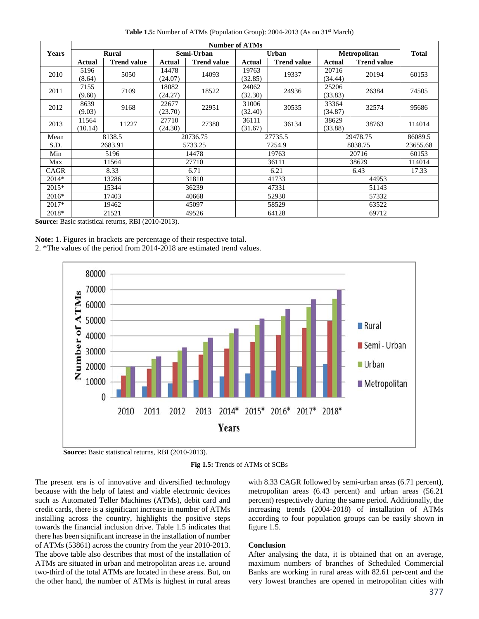| Table 1.5: Number of ATMs (Population Group): 2004-2013 (As on 31 <sup>st</sup> March) |  |  |  |  |
|----------------------------------------------------------------------------------------|--|--|--|--|
|----------------------------------------------------------------------------------------|--|--|--|--|

|              |                  |                    |                         |                    | <b>Number of ATMs</b> |                    |                     |                    |          |
|--------------|------------------|--------------------|-------------------------|--------------------|-----------------------|--------------------|---------------------|--------------------|----------|
| <b>Years</b> | Rural            |                    |                         | Semi-Urban         |                       | <b>Urban</b>       | <b>Metropolitan</b> | <b>Total</b>       |          |
|              | <b>Actual</b>    | <b>Trend value</b> | <b>Actual</b>           | <b>Trend value</b> | Actual                | <b>Trend value</b> | Actual              | <b>Trend value</b> |          |
| 2010         | 5196<br>(8.64)   | 5050               | 14478<br>(24.07)        | 14093              | 19763<br>(32.85)      | 19337              | 20716<br>(34.44)    | 20194              | 60153    |
| 2011         | 7155<br>(9.60)   | 7109               | 18082<br>(24.27)        | 18522              | 24062<br>(32.30)      | 24936              | 25206<br>(33.83)    | 26384              | 74505    |
| 2012         | 8639<br>(9.03)   | 9168               | 22677<br>(23.70)        | 22951              | 31006<br>(32.40)      | 30535              | 33364<br>(34.87)    | 32574              | 95686    |
| 2013         | 11564<br>(10.14) | 11227              | 27710<br>(24.30)        | 27380              | 36111<br>(31.67)      | 36134              | 38629<br>(33.88)    | 38763              | 114014   |
| Mean         |                  | 8138.5             |                         | 20736.75           |                       | 27735.5            |                     | 29478.75           | 86089.5  |
| S.D.         |                  | 2683.91            |                         | 5733.25            |                       | 7254.9             |                     | 8038.75            | 23655.68 |
| Min          |                  | 5196               |                         | 14478              |                       | 19763              |                     | 20716              | 60153    |
| Max          |                  | 11564              |                         | 27710              |                       | 36111              |                     | 38629              | 114014   |
| CAGR         |                  | 8.33               |                         | 6.71               |                       | 6.21               |                     | 6.43               | 17.33    |
| $2014*$      |                  | 13286              |                         | 31810              |                       | 41733              |                     | 44953              |          |
| 2015*        |                  | 15344              | 36239<br>47331          |                    |                       |                    | 51143               |                    |          |
| $2016*$      |                  | 17403              | 40668<br>57332<br>52930 |                    |                       |                    |                     |                    |          |
| 2017*        |                  | 19462              |                         | 45097              |                       | 58529              |                     | 63522              |          |
| 2018*        |                  | 21521              |                         | 49526              |                       | 64128              | 69712               |                    |          |

**Source:** Basic statistical returns, RBI (2010-2013).

**Note:** 1. Figures in brackets are percentage of their respective total. 2. \*The values of the period from 2014-2018 are estimated trend values.



**Source:** Basic statistical returns, RBI (2010-2013).



The present era is of innovative and diversified technology because with the help of latest and viable electronic devices such as Automated Teller Machines (ATMs), debit card and credit cards, there is a significant increase in number of ATMs installing across the country, highlights the positive steps towards the financial inclusion drive. Table 1.5 indicates that there has been significant increase in the installation of number of ATMs (53861) across the country from the year 2010-2013. The above table also describes that most of the installation of ATMs are situated in urban and metropolitan areas i.e. around two-third of the total ATMs are located in these areas. But, on the other hand, the number of ATMs is highest in rural areas with 8.33 CAGR followed by semi-urban areas (6.71 percent), metropolitan areas (6.43 percent) and urban areas (56.21 percent) respectively during the same period. Additionally, the increasing trends (2004-2018) of installation of ATMs according to four population groups can be easily shown in figure 1.5.

### **Conclusion**

After analysing the data, it is obtained that on an average, maximum numbers of branches of Scheduled Commercial Banks are working in rural areas with 82.61 per-cent and the very lowest branches are opened in metropolitan cities with